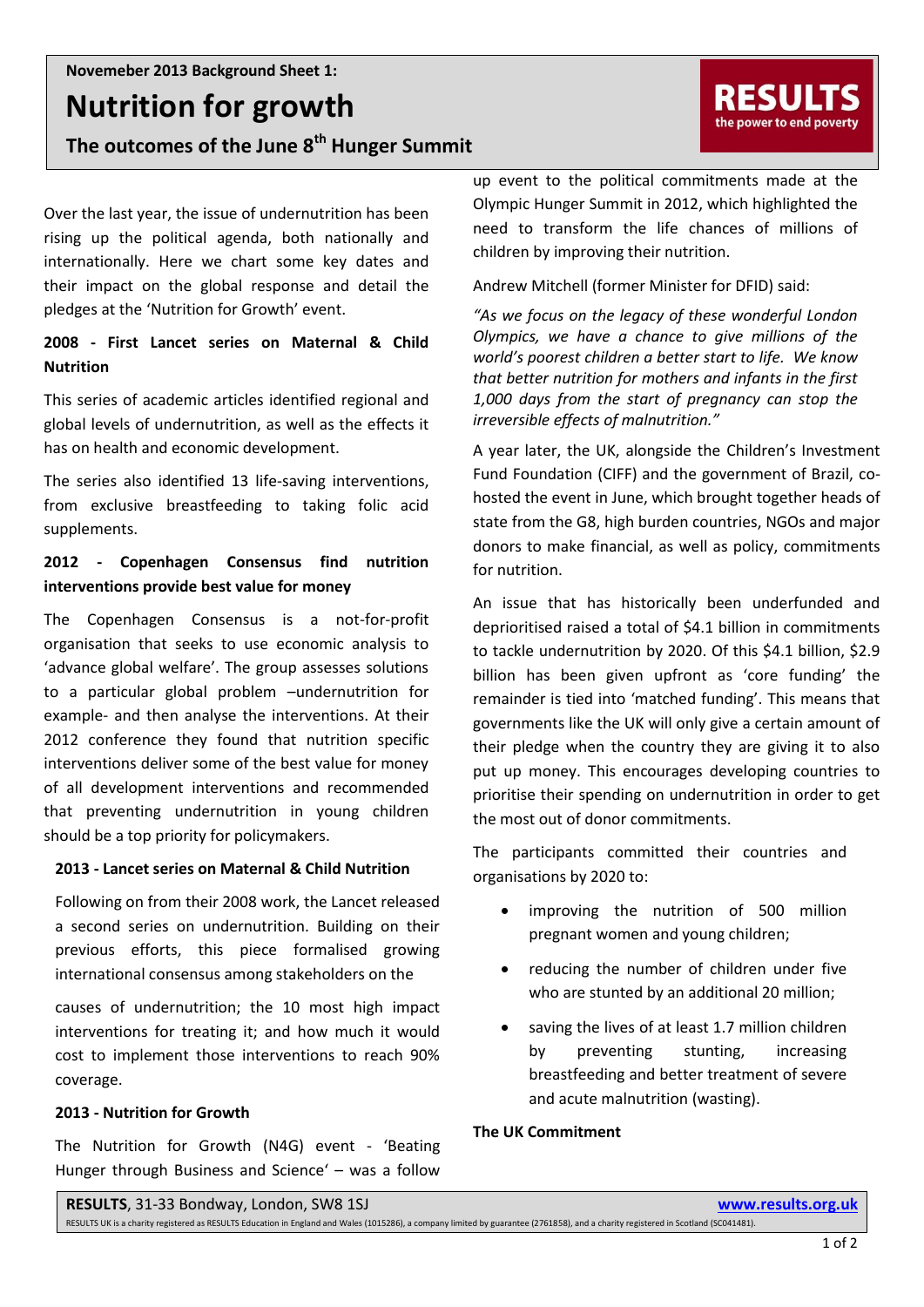**Nutrition for growth**

**The outcomes of the June 8th Hunger Summit**

Over the last year, the issue of undernutrition has been rising up the political agenda, both nationally and internationally. Here we chart some key dates and their impact on the global response and detail the pledges at the 'Nutrition for Growth' event.

# **2008 - First Lancet series on Maternal & Child Nutrition**

This series of academic articles identified regional and global levels of undernutrition, as well as the effects it has on health and economic development.

The series also identified 13 life-saving interventions, from exclusive breastfeeding to taking folic acid supplements.

# **2012 - Copenhagen Consensus find nutrition interventions provide best value for money**

The Copenhagen Consensus is a not-for-profit organisation that seeks to use economic analysis to 'advance global welfare'. The group assesses solutions to a particular global problem –undernutrition for example- and then analyse the interventions. At their 2012 conference they found that nutrition specific interventions deliver some of the best value for money of all development interventions and recommended that preventing undernutrition in young children should be a top priority for policymakers.

# **2013 - Lancet series on Maternal & Child Nutrition**

Following on from their 2008 work, the Lancet released a second series on undernutrition. Building on their previous efforts, this piece formalised growing international consensus among stakeholders on the

causes of undernutrition; the 10 most high impact interventions for treating it; and how much it would cost to implement those interventions to reach 90% coverage.

# **2013 - Nutrition for Growth**

The Nutrition for Growth (N4G) event - 'Beating Hunger through Business and Science' – was a follow

up event to the political commitments made at the Olympic Hunger Summit in 2012, which highlighted the need to transform the life chances of millions of children by improving their nutrition.

Andrew Mitchell (former Minister for DFID) said:

*"As we focus on the legacy of these wonderful London Olympics, we have a chance to give millions of the world's poorest children a better start to life. We know that better nutrition for mothers and infants in the first 1,000 days from the start of pregnancy can stop the irreversible effects of malnutrition."*

A year later, the UK, alongside the Children's Investment Fund Foundation (CIFF) and the government of Brazil, cohosted the event in June, which brought together heads of state from the G8, high burden countries, NGOs and major donors to make financial, as well as policy, commitments for nutrition.

An issue that has historically been underfunded and deprioritised raised a total of \$4.1 billion in commitments to tackle undernutrition by 2020. Of this \$4.1 billion, \$2.9 billion has been given upfront as 'core funding' the remainder is tied into 'matched funding'. This means that governments like the UK will only give a certain amount of their pledge when the country they are giving it to also put up money. This encourages developing countries to prioritise their spending on undernutrition in order to get the most out of donor commitments.

The participants committed their countries and organisations by 2020 to:

- improving the nutrition of 500 million pregnant women and young children;
- reducing the number of children under five who are stunted by an additional 20 million;
- saving the lives of at least 1.7 million children by preventing stunting, increasing breastfeeding and better treatment of severe and acute malnutrition (wasting).

# **The UK Commitment**

**RESULTS**, 31-33 Bondway, London, SW8 1SJ **www.results.org.uk**

RESULTS UK is a charity registered as RESULTS Education in England and Wales (1015286), a company limited by guarantee (2761858), and a charity registered in Scotland (SC041481).